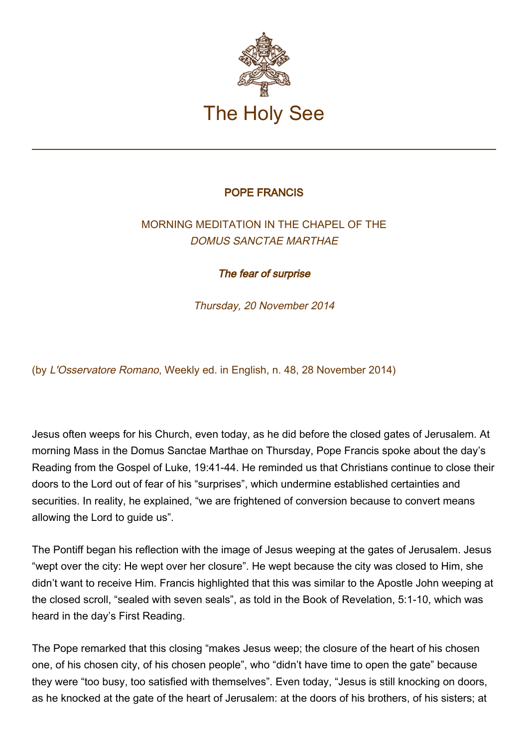

## POPE FRANCIS

## MORNING MEDITATION IN THE CHAPEL OF THE DOMUS SANCTAE MARTHAE

The fear of surprise

Thursday, 20 November 2014

(by L'Osservatore Romano, Weekly ed. in English, n. 48, 28 November 2014)

Jesus often weeps for his Church, even today, as he did before the closed gates of Jerusalem. At morning Mass in the Domus Sanctae Marthae on Thursday, Pope Francis spoke about the day's Reading from the Gospel of Luke, 19:41-44. He reminded us that Christians continue to close their doors to the Lord out of fear of his "surprises", which undermine established certainties and securities. In reality, he explained, "we are frightened of conversion because to convert means allowing the Lord to guide us".

The Pontiff began his reflection with the image of Jesus weeping at the gates of Jerusalem. Jesus "wept over the city: He wept over her closure". He wept because the city was closed to Him, she didn't want to receive Him. Francis highlighted that this was similar to the Apostle John weeping at the closed scroll, "sealed with seven seals", as told in the Book of Revelation, 5:1-10, which was heard in the day's First Reading.

The Pope remarked that this closing "makes Jesus weep; the closure of the heart of his chosen one, of his chosen city, of his chosen people", who "didn't have time to open the gate" because they were "too busy, too satisfied with themselves". Even today, "Jesus is still knocking on doors, as he knocked at the gate of the heart of Jerusalem: at the doors of his brothers, of his sisters; at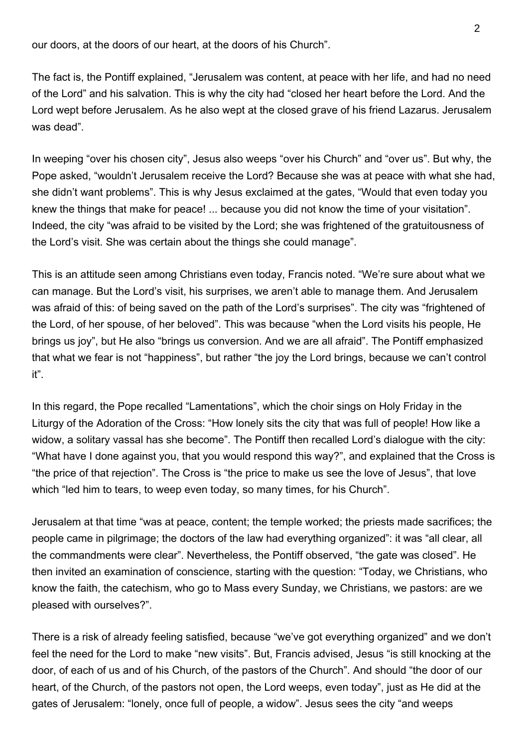our doors, at the doors of our heart, at the doors of his Church".

The fact is, the Pontiff explained, "Jerusalem was content, at peace with her life, and had no need of the Lord" and his salvation. This is why the city had "closed her heart before the Lord. And the Lord wept before Jerusalem. As he also wept at the closed grave of his friend Lazarus. Jerusalem was dead".

In weeping "over his chosen city", Jesus also weeps "over his Church" and "over us". But why, the Pope asked, "wouldn't Jerusalem receive the Lord? Because she was at peace with what she had, she didn't want problems". This is why Jesus exclaimed at the gates, "Would that even today you knew the things that make for peace! ... because you did not know the time of your visitation". Indeed, the city "was afraid to be visited by the Lord; she was frightened of the gratuitousness of the Lord's visit. She was certain about the things she could manage".

This is an attitude seen among Christians even today, Francis noted. "We're sure about what we can manage. But the Lord's visit, his surprises, we aren't able to manage them. And Jerusalem was afraid of this: of being saved on the path of the Lord's surprises". The city was "frightened of the Lord, of her spouse, of her beloved". This was because "when the Lord visits his people, He brings us joy", but He also "brings us conversion. And we are all afraid". The Pontiff emphasized that what we fear is not "happiness", but rather "the joy the Lord brings, because we can't control it".

In this regard, the Pope recalled "Lamentations", which the choir sings on Holy Friday in the Liturgy of the Adoration of the Cross: "How lonely sits the city that was full of people! How like a widow, a solitary vassal has she become". The Pontiff then recalled Lord's dialogue with the city: "What have I done against you, that you would respond this way?", and explained that the Cross is "the price of that rejection". The Cross is "the price to make us see the love of Jesus", that love which "led him to tears, to weep even today, so many times, for his Church".

Jerusalem at that time "was at peace, content; the temple worked; the priests made sacrifices; the people came in pilgrimage; the doctors of the law had everything organized": it was "all clear, all the commandments were clear". Nevertheless, the Pontiff observed, "the gate was closed". He then invited an examination of conscience, starting with the question: "Today, we Christians, who know the faith, the catechism, who go to Mass every Sunday, we Christians, we pastors: are we pleased with ourselves?".

There is a risk of already feeling satisfied, because "we've got everything organized" and we don't feel the need for the Lord to make "new visits". But, Francis advised, Jesus "is still knocking at the door, of each of us and of his Church, of the pastors of the Church". And should "the door of our heart, of the Church, of the pastors not open, the Lord weeps, even today", just as He did at the gates of Jerusalem: "lonely, once full of people, a widow". Jesus sees the city "and weeps